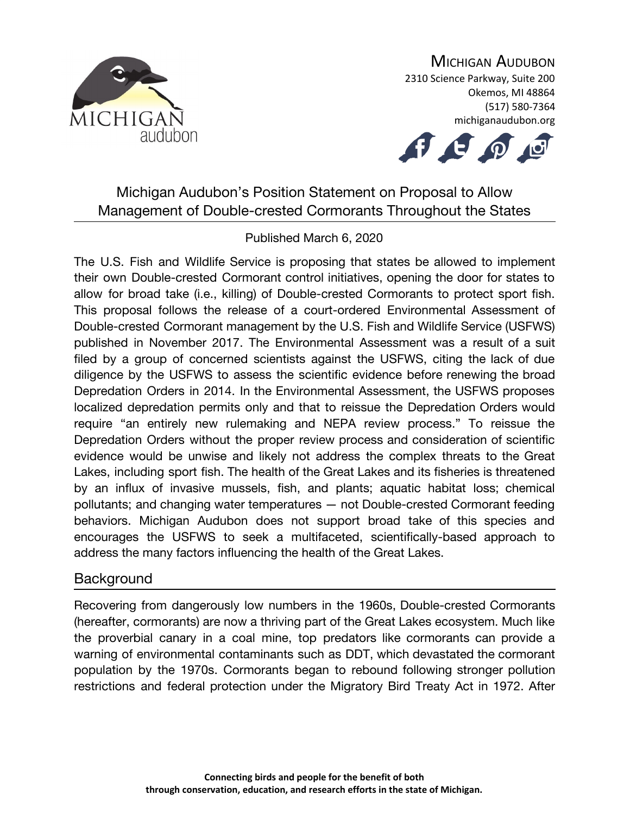

## MICHIGAN AUDUBON

2310 Science Parkway, Suite 200 Okemos, MI 48864 (517) 580-7364 michiganaudubon.org



# Michigan Audubon's Position Statement on Proposal to Allow Management of Double-crested Cormorants Throughout the States

#### Published March 6, 2020

The U.S. Fish and Wildlife Service is proposing that states be allowed to implement their own Double-crested Cormorant control initiatives, opening the door for states to allow for broad take (i.e., killing) of Double-crested Cormorants to protect sport fish. This proposal follows the release of a court-ordered Environmental Assessment of Double-crested Cormorant management by the U.S. Fish and Wildlife Service (USFWS) published in November 2017. The Environmental Assessment was a result of a suit filed by a group of concerned scientists against the USFWS, citing the lack of due diligence by the USFWS to assess the scientific evidence before renewing the broad Depredation Orders in 2014. In the Environmental Assessment, the USFWS proposes localized depredation permits only and that to reissue the Depredation Orders would require "an entirely new rulemaking and NEPA review process." To reissue the Depredation Orders without the proper review process and consideration of scientific evidence would be unwise and likely not address the complex threats to the Great Lakes, including sport fish. The health of the Great Lakes and its fisheries is threatened by an influx of invasive mussels, fish, and plants; aquatic habitat loss; chemical pollutants; and changing water temperatures — not Double-crested Cormorant feeding behaviors. Michigan Audubon does not support broad take of this species and encourages the USFWS to seek a multifaceted, scientifically-based approach to address the many factors influencing the health of the Great Lakes.

#### **Background**

Recovering from dangerously low numbers in the 1960s, Double-crested Cormorants (hereafter, cormorants) are now a thriving part of the Great Lakes ecosystem. Much like the proverbial canary in a coal mine, top predators like cormorants can provide a warning of environmental contaminants such as DDT, which devastated the cormorant population by the 1970s. Cormorants began to rebound following stronger pollution restrictions and federal protection under the Migratory Bird Treaty Act in 1972. After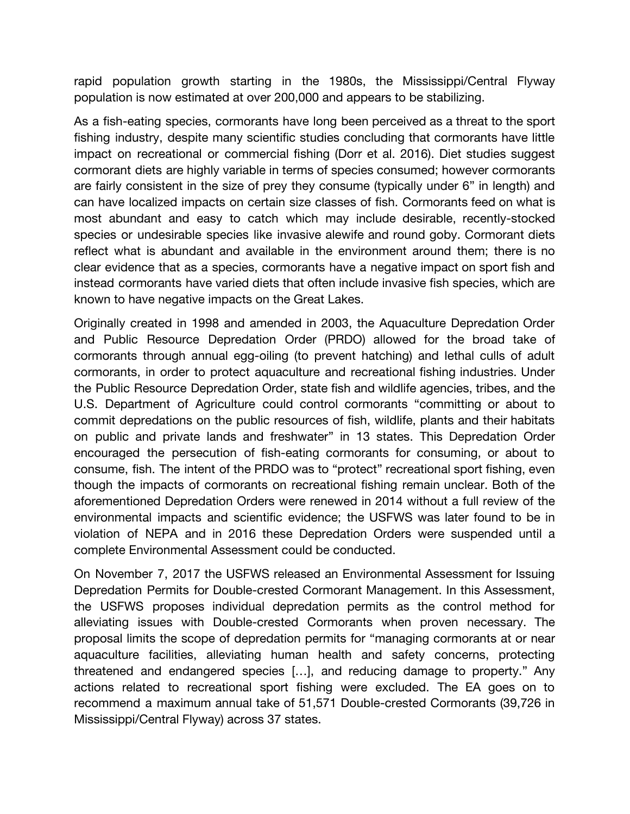rapid population growth starting in the 1980s, the Mississippi/Central Flyway population is now estimated at over 200,000 and appears to be stabilizing.

As a fish-eating species, cormorants have long been perceived as a threat to the sport fishing industry, despite many scientific studies concluding that cormorants have little impact on recreational or commercial fishing (Dorr et al. 2016). Diet studies suggest cormorant diets are highly variable in terms of species consumed; however cormorants are fairly consistent in the size of prey they consume (typically under 6" in length) and can have localized impacts on certain size classes of fish. Cormorants feed on what is most abundant and easy to catch which may include desirable, recently-stocked species or undesirable species like invasive alewife and round goby. Cormorant diets reflect what is abundant and available in the environment around them; there is no clear evidence that as a species, cormorants have a negative impact on sport fish and instead cormorants have varied diets that often include invasive fish species, which are known to have negative impacts on the Great Lakes.

Originally created in 1998 and amended in 2003, the Aquaculture Depredation Order and Public Resource Depredation Order (PRDO) allowed for the broad take of cormorants through annual egg-oiling (to prevent hatching) and lethal culls of adult cormorants, in order to protect aquaculture and recreational fishing industries. Under the Public Resource Depredation Order, state fish and wildlife agencies, tribes, and the U.S. Department of Agriculture could control cormorants "committing or about to commit depredations on the public resources of fish, wildlife, plants and their habitats on public and private lands and freshwater" in 13 states. This Depredation Order encouraged the persecution of fish-eating cormorants for consuming, or about to consume, fish. The intent of the PRDO was to "protect" recreational sport fishing, even though the impacts of cormorants on recreational fishing remain unclear. Both of the aforementioned Depredation Orders were renewed in 2014 without a full review of the environmental impacts and scientific evidence; the USFWS was later found to be in violation of NEPA and in 2016 these Depredation Orders were suspended until a complete Environmental Assessment could be conducted.

On November 7, 2017 the USFWS released an Environmental Assessment for Issuing Depredation Permits for Double-crested Cormorant Management. In this Assessment, the USFWS proposes individual depredation permits as the control method for alleviating issues with Double-crested Cormorants when proven necessary. The proposal limits the scope of depredation permits for "managing cormorants at or near aquaculture facilities, alleviating human health and safety concerns, protecting threatened and endangered species […], and reducing damage to property." Any actions related to recreational sport fishing were excluded. The EA goes on to recommend a maximum annual take of 51,571 Double-crested Cormorants (39,726 in Mississippi/Central Flyway) across 37 states.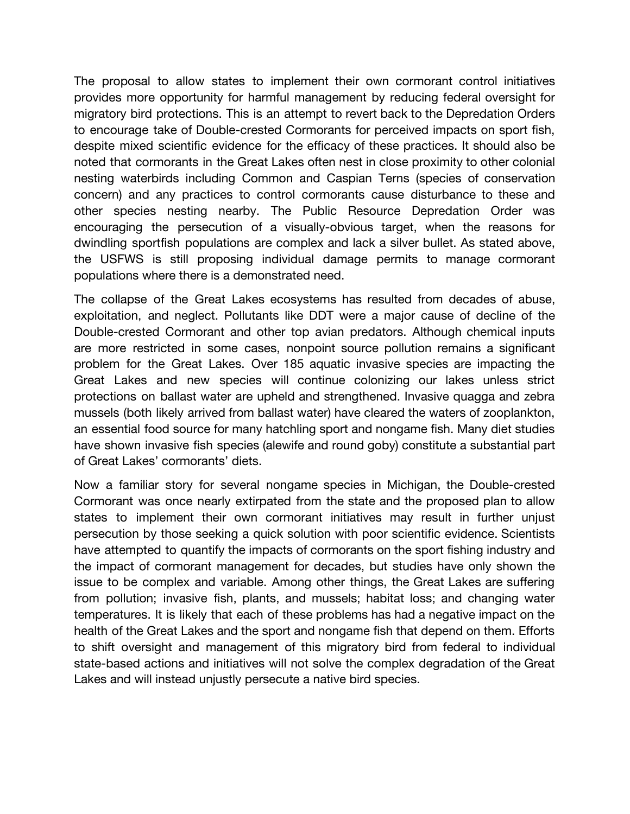The proposal to allow states to implement their own cormorant control initiatives provides more opportunity for harmful management by reducing federal oversight for migratory bird protections. This is an attempt to revert back to the Depredation Orders to encourage take of Double-crested Cormorants for perceived impacts on sport fish, despite mixed scientific evidence for the efficacy of these practices. It should also be noted that cormorants in the Great Lakes often nest in close proximity to other colonial nesting waterbirds including Common and Caspian Terns (species of conservation concern) and any practices to control cormorants cause disturbance to these and other species nesting nearby. The Public Resource Depredation Order was encouraging the persecution of a visually-obvious target, when the reasons for dwindling sportfish populations are complex and lack a silver bullet. As stated above, the USFWS is still proposing individual damage permits to manage cormorant populations where there is a demonstrated need.

The collapse of the Great Lakes ecosystems has resulted from decades of abuse, exploitation, and neglect. Pollutants like DDT were a major cause of decline of the Double-crested Cormorant and other top avian predators. Although chemical inputs are more restricted in some cases, nonpoint source pollution remains a significant problem for the Great Lakes. Over 185 aquatic invasive species are impacting the Great Lakes and new species will continue colonizing our lakes unless strict protections on ballast water are upheld and strengthened. Invasive quagga and zebra mussels (both likely arrived from ballast water) have cleared the waters of zooplankton, an essential food source for many hatchling sport and nongame fish. Many diet studies have shown invasive fish species (alewife and round goby) constitute a substantial part of Great Lakes' cormorants' diets.

Now a familiar story for several nongame species in Michigan, the Double-crested Cormorant was once nearly extirpated from the state and the proposed plan to allow states to implement their own cormorant initiatives may result in further unjust persecution by those seeking a quick solution with poor scientific evidence. Scientists have attempted to quantify the impacts of cormorants on the sport fishing industry and the impact of cormorant management for decades, but studies have only shown the issue to be complex and variable. Among other things, the Great Lakes are suffering from pollution; invasive fish, plants, and mussels; habitat loss; and changing water temperatures. It is likely that each of these problems has had a negative impact on the health of the Great Lakes and the sport and nongame fish that depend on them. Efforts to shift oversight and management of this migratory bird from federal to individual state-based actions and initiatives will not solve the complex degradation of the Great Lakes and will instead unjustly persecute a native bird species.